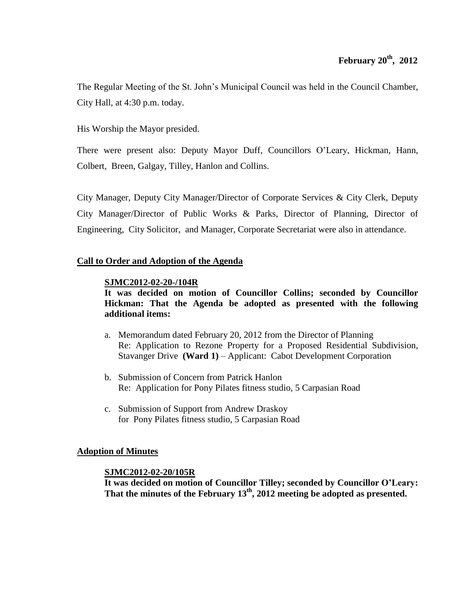The Regular Meeting of the St. John's Municipal Council was held in the Council Chamber, City Hall, at 4:30 p.m. today.

His Worship the Mayor presided.

There were present also: Deputy Mayor Duff, Councillors O'Leary, Hickman, Hann, Colbert, Breen, Galgay, Tilley, Hanlon and Collins.

City Manager, Deputy City Manager/Director of Corporate Services & City Clerk, Deputy City Manager/Director of Public Works & Parks, Director of Planning, Director of Engineering, City Solicitor, and Manager, Corporate Secretariat were also in attendance.

## **Call to Order and Adoption of the Agenda**

## **SJMC2012-02-20-/104R**

**It was decided on motion of Councillor Collins; seconded by Councillor Hickman: That the Agenda be adopted as presented with the following additional items:**

- a. Memorandum dated February 20, 2012 from the Director of Planning Re: Application to Rezone Property for a Proposed Residential Subdivision, Stavanger Drive **(Ward 1)** – Applicant: Cabot Development Corporation
- b. Submission of Concern from Patrick Hanlon Re: Application for Pony Pilates fitness studio, 5 Carpasian Road
- c. Submission of Support from Andrew Draskoy for Pony Pilates fitness studio, 5 Carpasian Road

#### **Adoption of Minutes**

#### **SJMC2012-02-20/105R**

**It was decided on motion of Councillor Tilley; seconded by Councillor O'Leary: That the minutes of the February 13th , 2012 meeting be adopted as presented.**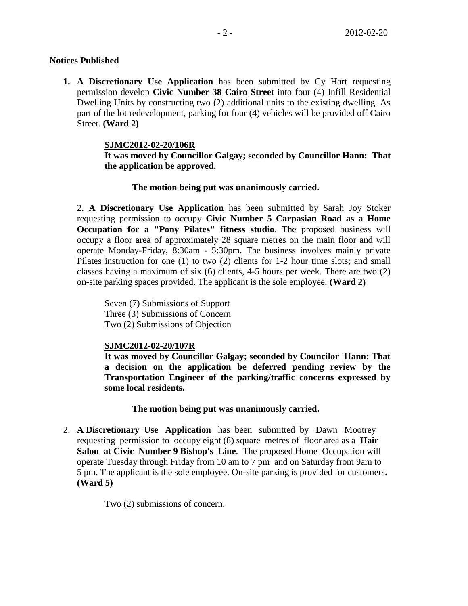## **Notices Published**

**1. A Discretionary Use Application** has been submitted by Cy Hart requesting permission develop **Civic Number 38 Cairo Street** into four (4) Infill Residential Dwelling Units by constructing two (2) additional units to the existing dwelling. As part of the lot redevelopment, parking for four (4) vehicles will be provided off Cairo Street. **(Ward 2)**

## **SJMC2012-02-20/106R**

**It was moved by Councillor Galgay; seconded by Councillor Hann: That the application be approved.**

## **The motion being put was unanimously carried.**

2. **A Discretionary Use Application** has been submitted by Sarah Joy Stoker requesting permission to occupy **Civic Number 5 Carpasian Road as a Home Occupation for a "Pony Pilates" fitness studio**. The proposed business will occupy a floor area of approximately 28 square metres on the main floor and will operate Monday-Friday, 8:30am - 5:30pm. The business involves mainly private Pilates instruction for one (1) to two (2) clients for 1-2 hour time slots; and small classes having a maximum of six (6) clients, 4-5 hours per week. There are two (2) on-site parking spaces provided. The applicant is the sole employee. **(Ward 2)**

Seven (7) Submissions of Support Three (3) Submissions of Concern Two (2) Submissions of Objection

## **SJMC2012-02-20/107R**

**It was moved by Councillor Galgay; seconded by Councilor Hann: That a decision on the application be deferred pending review by the Transportation Engineer of the parking/traffic concerns expressed by some local residents.**

#### **The motion being put was unanimously carried.**

2. **A Discretionary Use Application** has been submitted by Dawn Mootrey requesting permission to occupy eight (8) square metres of floor area as a **Hair Salon at Civic Number 9 Bishop's Line**. The proposed Home Occupation will operate Tuesday through Friday from 10 am to 7 pm and on Saturday from 9am to 5 pm. The applicant is the sole employee. On-site parking is provided for customers**. (Ward 5)**

Two (2) submissions of concern.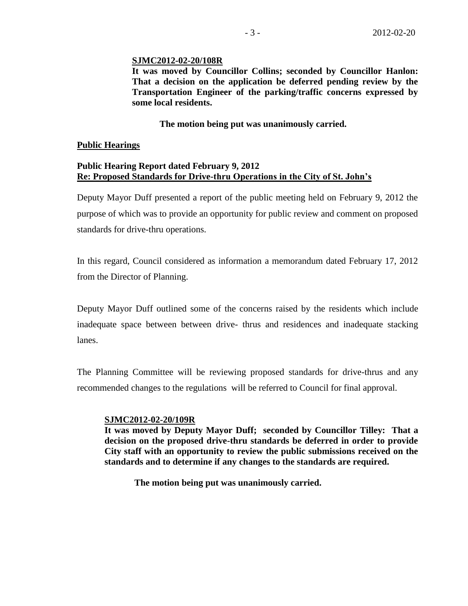#### **SJMC2012-02-20/108R**

**It was moved by Councillor Collins; seconded by Councillor Hanlon: That a decision on the application be deferred pending review by the Transportation Engineer of the parking/traffic concerns expressed by some local residents.**

## **The motion being put was unanimously carried.**

#### **Public Hearings**

#### **Public Hearing Report dated February 9, 2012 Re: Proposed Standards for Drive-thru Operations in the City of St. John's**

Deputy Mayor Duff presented a report of the public meeting held on February 9, 2012 the purpose of which was to provide an opportunity for public review and comment on proposed standards for drive-thru operations.

In this regard, Council considered as information a memorandum dated February 17, 2012 from the Director of Planning.

Deputy Mayor Duff outlined some of the concerns raised by the residents which include inadequate space between between drive- thrus and residences and inadequate stacking lanes.

The Planning Committee will be reviewing proposed standards for drive-thrus and any recommended changes to the regulations will be referred to Council for final approval.

## **SJMC2012-02-20/109R**

**It was moved by Deputy Mayor Duff; seconded by Councillor Tilley: That a decision on the proposed drive-thru standards be deferred in order to provide City staff with an opportunity to review the public submissions received on the standards and to determine if any changes to the standards are required.**

**The motion being put was unanimously carried.**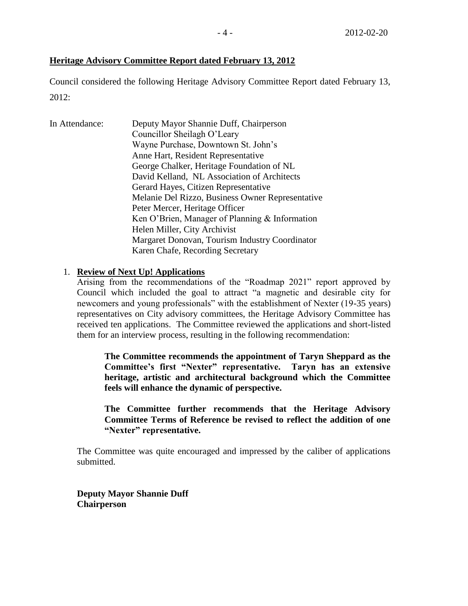# **Heritage Advisory Committee Report dated February 13, 2012**

Council considered the following Heritage Advisory Committee Report dated February 13, 2012:

| In Attendance: | Deputy Mayor Shannie Duff, Chairperson<br>Councillor Sheilagh O'Leary |
|----------------|-----------------------------------------------------------------------|
|                | Wayne Purchase, Downtown St. John's                                   |
|                | Anne Hart, Resident Representative                                    |
|                | George Chalker, Heritage Foundation of NL                             |
|                | David Kelland, NL Association of Architects                           |
|                | Gerard Hayes, Citizen Representative                                  |
|                | Melanie Del Rizzo, Business Owner Representative                      |
|                | Peter Mercer, Heritage Officer                                        |
|                | Ken O'Brien, Manager of Planning & Information                        |
|                | Helen Miller, City Archivist                                          |
|                | Margaret Donovan, Tourism Industry Coordinator                        |
|                | Karen Chafe, Recording Secretary                                      |
|                |                                                                       |

## 1. **Review of Next Up! Applications**

Arising from the recommendations of the "Roadmap 2021" report approved by Council which included the goal to attract "a magnetic and desirable city for newcomers and young professionals" with the establishment of Nexter (19-35 years) representatives on City advisory committees, the Heritage Advisory Committee has received ten applications. The Committee reviewed the applications and short-listed them for an interview process, resulting in the following recommendation:

**The Committee recommends the appointment of Taryn Sheppard as the Committee's first "Nexter" representative. Taryn has an extensive heritage, artistic and architectural background which the Committee feels will enhance the dynamic of perspective.**

**The Committee further recommends that the Heritage Advisory Committee Terms of Reference be revised to reflect the addition of one "Nexter" representative.**

The Committee was quite encouraged and impressed by the caliber of applications submitted.

**Deputy Mayor Shannie Duff Chairperson**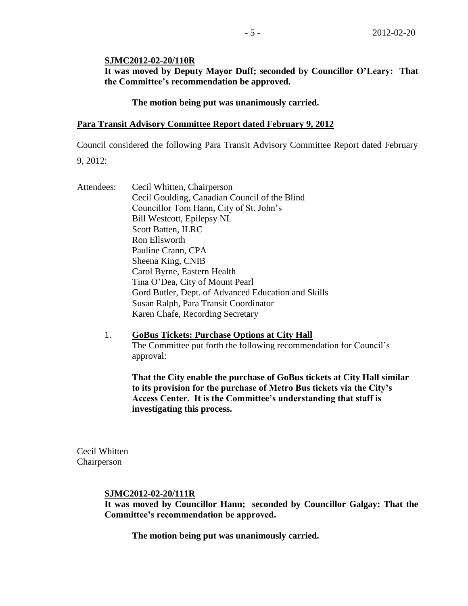#### **SJMC2012-02-20/110R**

**It was moved by Deputy Mayor Duff; seconded by Councillor O'Leary: That the Committee's recommendation be approved.**

#### **The motion being put was unanimously carried.**

#### **Para Transit Advisory Committee Report dated February 9, 2012**

Council considered the following Para Transit Advisory Committee Report dated February 9, 2012:

Attendees: Cecil Whitten, Chairperson Cecil Goulding, Canadian Council of the Blind Councillor Tom Hann, City of St. John's Bill Westcott, Epilepsy NL Scott Batten, ILRC Ron Ellsworth Pauline Crann, CPA Sheena King, CNIB Carol Byrne, Eastern Health Tina O'Dea, City of Mount Pearl Gord Butler, Dept. of Advanced Education and Skills Susan Ralph, Para Transit Coordinator Karen Chafe, Recording Secretary

> 1. **GoBus Tickets: Purchase Options at City Hall** The Committee put forth the following recommendation for Council's approval:

**That the City enable the purchase of GoBus tickets at City Hall similar to its provision for the purchase of Metro Bus tickets via the City's Access Center. It is the Committee's understanding that staff is investigating this process.**

Cecil Whitten Chairperson

#### **SJMC2012-02-20/111R**

**It was moved by Councillor Hann; seconded by Councillor Galgay: That the Committee's recommendation be approved.**

**The motion being put was unanimously carried.**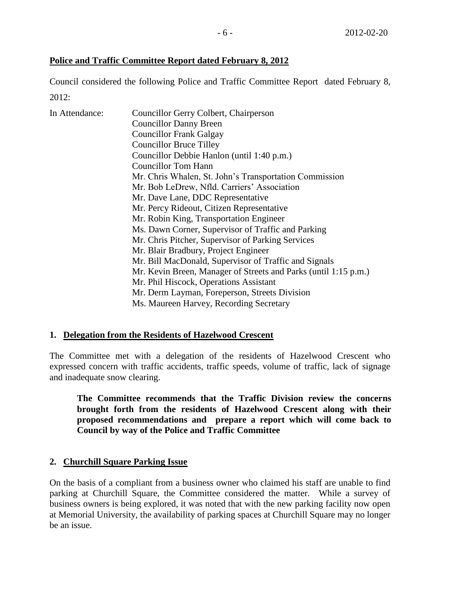# **Police and Traffic Committee Report dated February 8, 2012**

Council considered the following Police and Traffic Committee Report dated February 8, 2012:

| In Attendance: | Councillor Gerry Colbert, Chairperson                           |
|----------------|-----------------------------------------------------------------|
|                | <b>Councillor Danny Breen</b>                                   |
|                | <b>Councillor Frank Galgay</b>                                  |
|                | <b>Councillor Bruce Tilley</b>                                  |
|                | Councillor Debbie Hanlon (until 1:40 p.m.)                      |
|                | <b>Councillor Tom Hann</b>                                      |
|                | Mr. Chris Whalen, St. John's Transportation Commission          |
|                | Mr. Bob LeDrew, Nfld. Carriers' Association                     |
|                | Mr. Dave Lane, DDC Representative                               |
|                | Mr. Percy Rideout, Citizen Representative                       |
|                | Mr. Robin King, Transportation Engineer                         |
|                | Ms. Dawn Corner, Supervisor of Traffic and Parking              |
|                | Mr. Chris Pitcher, Supervisor of Parking Services               |
|                | Mr. Blair Bradbury, Project Engineer                            |
|                | Mr. Bill MacDonald, Supervisor of Traffic and Signals           |
|                | Mr. Kevin Breen, Manager of Streets and Parks (until 1:15 p.m.) |
|                | Mr. Phil Hiscock, Operations Assistant                          |
|                | Mr. Derm Layman, Foreperson, Streets Division                   |
|                | Ms. Maureen Harvey, Recording Secretary                         |

## **1. Delegation from the Residents of Hazelwood Crescent**

The Committee met with a delegation of the residents of Hazelwood Crescent who expressed concern with traffic accidents, traffic speeds, volume of traffic, lack of signage and inadequate snow clearing.

**The Committee recommends that the Traffic Division review the concerns brought forth from the residents of Hazelwood Crescent along with their proposed recommendations and prepare a report which will come back to Council by way of the Police and Traffic Committee**

## **2. Churchill Square Parking Issue**

On the basis of a compliant from a business owner who claimed his staff are unable to find parking at Churchill Square, the Committee considered the matter. While a survey of business owners is being explored, it was noted that with the new parking facility now open at Memorial University, the availability of parking spaces at Churchill Square may no longer be an issue.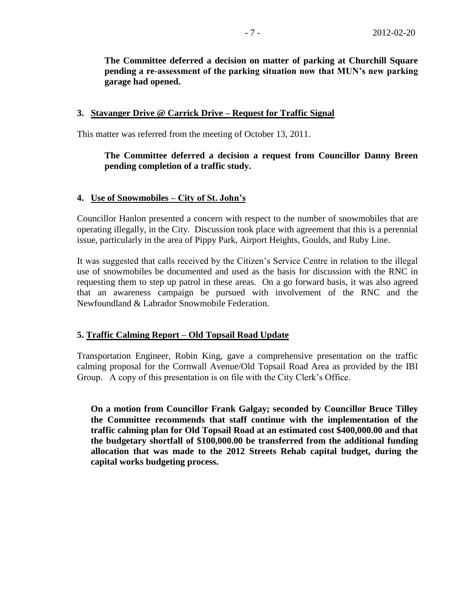**The Committee deferred a decision on matter of parking at Churchill Square pending a re-assessment of the parking situation now that MUN's new parking garage had opened.**

#### **3. Stavanger Drive @ Carrick Drive – Request for Traffic Signal**

This matter was referred from the meeting of October 13, 2011.

## **The Committee deferred a decision a request from Councillor Danny Breen pending completion of a traffic study.**

#### **4. Use of Snowmobiles – City of St. John's**

Councillor Hanlon presented a concern with respect to the number of snowmobiles that are operating illegally, in the City. Discussion took place with agreement that this is a perennial issue, particularly in the area of Pippy Park, Airport Heights, Goulds, and Ruby Line.

It was suggested that calls received by the Citizen's Service Centre in relation to the illegal use of snowmobiles be documented and used as the basis for discussion with the RNC in requesting them to step up patrol in these areas. On a go forward basis, it was also agreed that an awareness campaign be pursued with involvement of the RNC and the Newfoundland & Labrador Snowmobile Federation.

#### **5. Traffic Calming Report – Old Topsail Road Update**

Transportation Engineer, Robin King, gave a comprehensive presentation on the traffic calming proposal for the Cornwall Avenue/Old Topsail Road Area as provided by the IBI Group. A copy of this presentation is on file with the City Clerk's Office.

**On a motion from Councillor Frank Galgay; seconded by Councillor Bruce Tilley the Committee recommends that staff continue with the implementation of the traffic calming plan for Old Topsail Road at an estimated cost \$400,000.00 and that the budgetary shortfall of \$100,000.00 be transferred from the additional funding allocation that was made to the 2012 Streets Rehab capital budget, during the capital works budgeting process.**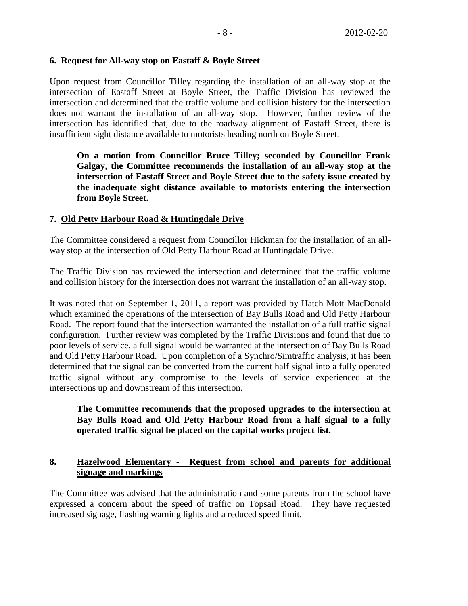## **6. Request for All-way stop on Eastaff & Boyle Street**

Upon request from Councillor Tilley regarding the installation of an all-way stop at the intersection of Eastaff Street at Boyle Street, the Traffic Division has reviewed the intersection and determined that the traffic volume and collision history for the intersection does not warrant the installation of an all-way stop. However, further review of the intersection has identified that, due to the roadway alignment of Eastaff Street, there is insufficient sight distance available to motorists heading north on Boyle Street.

**On a motion from Councillor Bruce Tilley; seconded by Councillor Frank Galgay, the Committee recommends the installation of an all-way stop at the intersection of Eastaff Street and Boyle Street due to the safety issue created by the inadequate sight distance available to motorists entering the intersection from Boyle Street.**

## **7. Old Petty Harbour Road & Huntingdale Drive**

The Committee considered a request from Councillor Hickman for the installation of an allway stop at the intersection of Old Petty Harbour Road at Huntingdale Drive.

The Traffic Division has reviewed the intersection and determined that the traffic volume and collision history for the intersection does not warrant the installation of an all-way stop.

It was noted that on September 1, 2011, a report was provided by Hatch Mott MacDonald which examined the operations of the intersection of Bay Bulls Road and Old Petty Harbour Road. The report found that the intersection warranted the installation of a full traffic signal configuration. Further review was completed by the Traffic Divisions and found that due to poor levels of service, a full signal would be warranted at the intersection of Bay Bulls Road and Old Petty Harbour Road. Upon completion of a Synchro/Simtraffic analysis, it has been determined that the signal can be converted from the current half signal into a fully operated traffic signal without any compromise to the levels of service experienced at the intersections up and downstream of this intersection.

# **The Committee recommends that the proposed upgrades to the intersection at Bay Bulls Road and Old Petty Harbour Road from a half signal to a fully operated traffic signal be placed on the capital works project list.**

## **8. Hazelwood Elementary - Request from school and parents for additional signage and markings**

The Committee was advised that the administration and some parents from the school have expressed a concern about the speed of traffic on Topsail Road. They have requested increased signage, flashing warning lights and a reduced speed limit.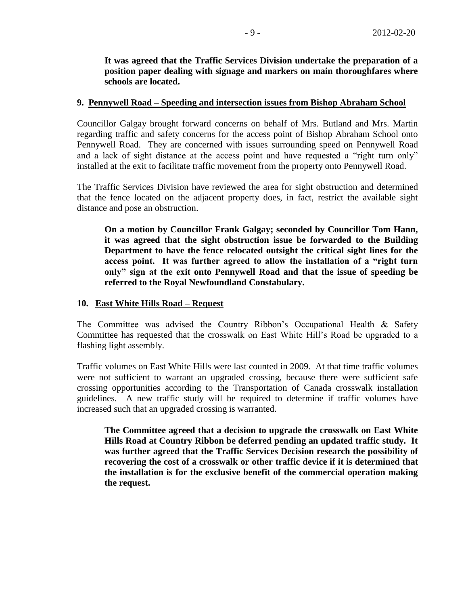**It was agreed that the Traffic Services Division undertake the preparation of a position paper dealing with signage and markers on main thoroughfares where schools are located.** 

## **9. Pennywell Road – Speeding and intersection issues from Bishop Abraham School**

Councillor Galgay brought forward concerns on behalf of Mrs. Butland and Mrs. Martin regarding traffic and safety concerns for the access point of Bishop Abraham School onto Pennywell Road. They are concerned with issues surrounding speed on Pennywell Road and a lack of sight distance at the access point and have requested a "right turn only" installed at the exit to facilitate traffic movement from the property onto Pennywell Road.

The Traffic Services Division have reviewed the area for sight obstruction and determined that the fence located on the adjacent property does, in fact, restrict the available sight distance and pose an obstruction.

**On a motion by Councillor Frank Galgay; seconded by Councillor Tom Hann, it was agreed that the sight obstruction issue be forwarded to the Building Department to have the fence relocated outsight the critical sight lines for the access point. It was further agreed to allow the installation of a "right turn only" sign at the exit onto Pennywell Road and that the issue of speeding be referred to the Royal Newfoundland Constabulary.**

## **10. East White Hills Road – Request**

The Committee was advised the Country Ribbon's Occupational Health & Safety Committee has requested that the crosswalk on East White Hill's Road be upgraded to a flashing light assembly.

Traffic volumes on East White Hills were last counted in 2009. At that time traffic volumes were not sufficient to warrant an upgraded crossing, because there were sufficient safe crossing opportunities according to the Transportation of Canada crosswalk installation guidelines. A new traffic study will be required to determine if traffic volumes have increased such that an upgraded crossing is warranted.

**The Committee agreed that a decision to upgrade the crosswalk on East White Hills Road at Country Ribbon be deferred pending an updated traffic study. It was further agreed that the Traffic Services Decision research the possibility of recovering the cost of a crosswalk or other traffic device if it is determined that the installation is for the exclusive benefit of the commercial operation making the request.**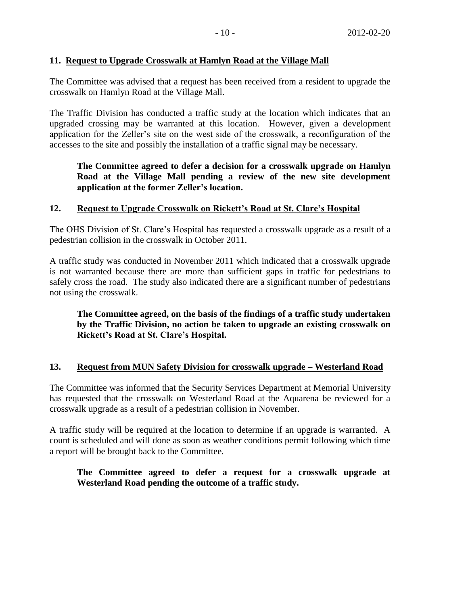# **11. Request to Upgrade Crosswalk at Hamlyn Road at the Village Mall**

The Committee was advised that a request has been received from a resident to upgrade the crosswalk on Hamlyn Road at the Village Mall.

The Traffic Division has conducted a traffic study at the location which indicates that an upgraded crossing may be warranted at this location. However, given a development application for the Zeller's site on the west side of the crosswalk, a reconfiguration of the accesses to the site and possibly the installation of a traffic signal may be necessary.

# **The Committee agreed to defer a decision for a crosswalk upgrade on Hamlyn Road at the Village Mall pending a review of the new site development application at the former Zeller's location.**

# **12. Request to Upgrade Crosswalk on Rickett's Road at St. Clare's Hospital**

The OHS Division of St. Clare's Hospital has requested a crosswalk upgrade as a result of a pedestrian collision in the crosswalk in October 2011.

A traffic study was conducted in November 2011 which indicated that a crosswalk upgrade is not warranted because there are more than sufficient gaps in traffic for pedestrians to safely cross the road. The study also indicated there are a significant number of pedestrians not using the crosswalk.

**The Committee agreed, on the basis of the findings of a traffic study undertaken by the Traffic Division, no action be taken to upgrade an existing crosswalk on Rickett's Road at St. Clare's Hospital.**

## **13. Request from MUN Safety Division for crosswalk upgrade – Westerland Road**

The Committee was informed that the Security Services Department at Memorial University has requested that the crosswalk on Westerland Road at the Aquarena be reviewed for a crosswalk upgrade as a result of a pedestrian collision in November.

A traffic study will be required at the location to determine if an upgrade is warranted. A count is scheduled and will done as soon as weather conditions permit following which time a report will be brought back to the Committee.

# **The Committee agreed to defer a request for a crosswalk upgrade at Westerland Road pending the outcome of a traffic study.**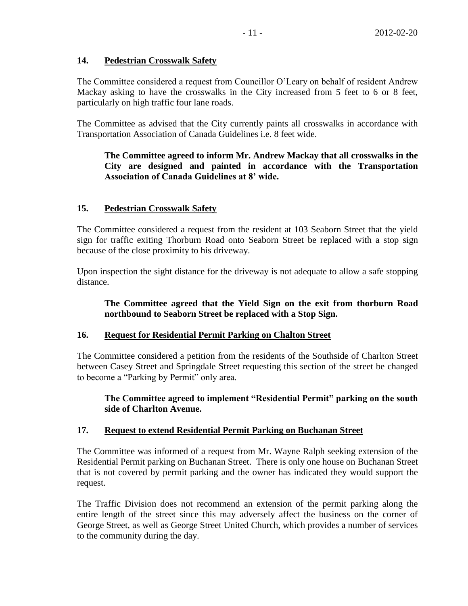## **14. Pedestrian Crosswalk Safety**

The Committee considered a request from Councillor O'Leary on behalf of resident Andrew Mackay asking to have the crosswalks in the City increased from 5 feet to 6 or 8 feet, particularly on high traffic four lane roads.

The Committee as advised that the City currently paints all crosswalks in accordance with Transportation Association of Canada Guidelines i.e. 8 feet wide.

# **The Committee agreed to inform Mr. Andrew Mackay that all crosswalks in the City are designed and painted in accordance with the Transportation Association of Canada Guidelines at 8' wide.**

## **15. Pedestrian Crosswalk Safety**

The Committee considered a request from the resident at 103 Seaborn Street that the yield sign for traffic exiting Thorburn Road onto Seaborn Street be replaced with a stop sign because of the close proximity to his driveway.

Upon inspection the sight distance for the driveway is not adequate to allow a safe stopping distance.

**The Committee agreed that the Yield Sign on the exit from thorburn Road northbound to Seaborn Street be replaced with a Stop Sign.**

## **16. Request for Residential Permit Parking on Chalton Street**

The Committee considered a petition from the residents of the Southside of Charlton Street between Casey Street and Springdale Street requesting this section of the street be changed to become a "Parking by Permit" only area.

**The Committee agreed to implement "Residential Permit" parking on the south side of Charlton Avenue.**

## **17. Request to extend Residential Permit Parking on Buchanan Street**

The Committee was informed of a request from Mr. Wayne Ralph seeking extension of the Residential Permit parking on Buchanan Street. There is only one house on Buchanan Street that is not covered by permit parking and the owner has indicated they would support the request.

The Traffic Division does not recommend an extension of the permit parking along the entire length of the street since this may adversely affect the business on the corner of George Street, as well as George Street United Church, which provides a number of services to the community during the day.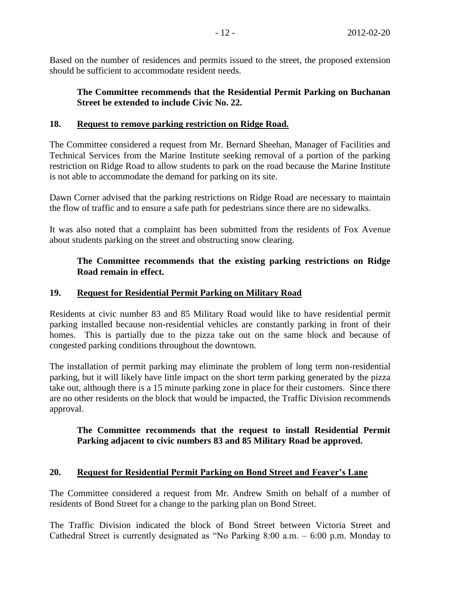Based on the number of residences and permits issued to the street, the proposed extension should be sufficient to accommodate resident needs.

# **The Committee recommends that the Residential Permit Parking on Buchanan Street be extended to include Civic No. 22.**

# **18. Request to remove parking restriction on Ridge Road.**

The Committee considered a request from Mr. Bernard Sheehan, Manager of Facilities and Technical Services from the Marine Institute seeking removal of a portion of the parking restriction on Ridge Road to allow students to park on the road because the Marine Institute is not able to accommodate the demand for parking on its site.

Dawn Corner advised that the parking restrictions on Ridge Road are necessary to maintain the flow of traffic and to ensure a safe path for pedestrians since there are no sidewalks.

It was also noted that a complaint has been submitted from the residents of Fox Avenue about students parking on the street and obstructing snow clearing.

# **The Committee recommends that the existing parking restrictions on Ridge Road remain in effect.**

## **19. Request for Residential Permit Parking on Military Road**

Residents at civic number 83 and 85 Military Road would like to have residential permit parking installed because non-residential vehicles are constantly parking in front of their homes. This is partially due to the pizza take out on the same block and because of congested parking conditions throughout the downtown.

The installation of permit parking may eliminate the problem of long term non-residential parking, but it will likely have little impact on the short term parking generated by the pizza take out, although there is a 15 minute parking zone in place for their customers. Since there are no other residents on the block that would be impacted, the Traffic Division recommends approval.

## **The Committee recommends that the request to install Residential Permit Parking adjacent to civic numbers 83 and 85 Military Road be approved.**

## **20. Request for Residential Permit Parking on Bond Street and Feaver's Lane**

The Committee considered a request from Mr. Andrew Smith on behalf of a number of residents of Bond Street for a change to the parking plan on Bond Street.

The Traffic Division indicated the block of Bond Street between Victoria Street and Cathedral Street is currently designated as "No Parking 8:00 a.m. – 6:00 p.m. Monday to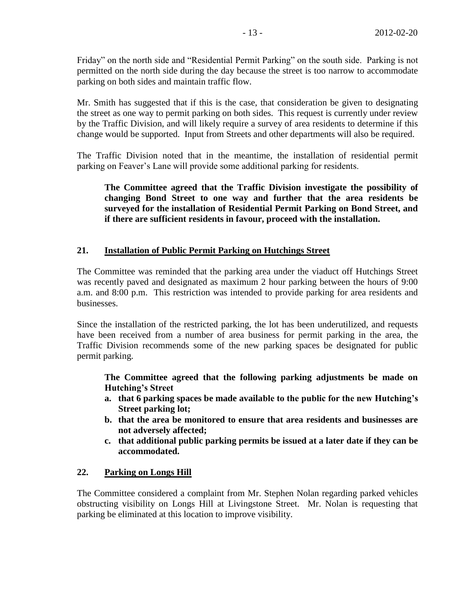Friday" on the north side and "Residential Permit Parking" on the south side. Parking is not permitted on the north side during the day because the street is too narrow to accommodate parking on both sides and maintain traffic flow.

Mr. Smith has suggested that if this is the case, that consideration be given to designating the street as one way to permit parking on both sides. This request is currently under review by the Traffic Division, and will likely require a survey of area residents to determine if this change would be supported. Input from Streets and other departments will also be required.

The Traffic Division noted that in the meantime, the installation of residential permit parking on Feaver's Lane will provide some additional parking for residents.

# **The Committee agreed that the Traffic Division investigate the possibility of changing Bond Street to one way and further that the area residents be surveyed for the installation of Residential Permit Parking on Bond Street, and if there are sufficient residents in favour, proceed with the installation.**

## **21. Installation of Public Permit Parking on Hutchings Street**

The Committee was reminded that the parking area under the viaduct off Hutchings Street was recently paved and designated as maximum 2 hour parking between the hours of 9:00 a.m. and 8:00 p.m. This restriction was intended to provide parking for area residents and businesses.

Since the installation of the restricted parking, the lot has been underutilized, and requests have been received from a number of area business for permit parking in the area, the Traffic Division recommends some of the new parking spaces be designated for public permit parking.

**The Committee agreed that the following parking adjustments be made on Hutching's Street**

- **a. that 6 parking spaces be made available to the public for the new Hutching's Street parking lot;**
- **b. that the area be monitored to ensure that area residents and businesses are not adversely affected;**
- **c. that additional public parking permits be issued at a later date if they can be accommodated.**

## **22. Parking on Longs Hill**

The Committee considered a complaint from Mr. Stephen Nolan regarding parked vehicles obstructing visibility on Longs Hill at Livingstone Street. Mr. Nolan is requesting that parking be eliminated at this location to improve visibility.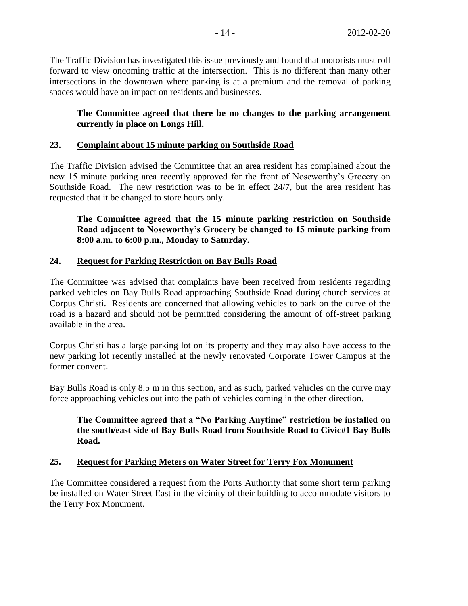The Traffic Division has investigated this issue previously and found that motorists must roll forward to view oncoming traffic at the intersection. This is no different than many other intersections in the downtown where parking is at a premium and the removal of parking spaces would have an impact on residents and businesses.

# **The Committee agreed that there be no changes to the parking arrangement currently in place on Longs Hill.**

# **23. Complaint about 15 minute parking on Southside Road**

The Traffic Division advised the Committee that an area resident has complained about the new 15 minute parking area recently approved for the front of Noseworthy's Grocery on Southside Road. The new restriction was to be in effect 24/7, but the area resident has requested that it be changed to store hours only.

**The Committee agreed that the 15 minute parking restriction on Southside Road adjacent to Noseworthy's Grocery be changed to 15 minute parking from 8:00 a.m. to 6:00 p.m., Monday to Saturday.** 

# **24. Request for Parking Restriction on Bay Bulls Road**

The Committee was advised that complaints have been received from residents regarding parked vehicles on Bay Bulls Road approaching Southside Road during church services at Corpus Christi. Residents are concerned that allowing vehicles to park on the curve of the road is a hazard and should not be permitted considering the amount of off-street parking available in the area.

Corpus Christi has a large parking lot on its property and they may also have access to the new parking lot recently installed at the newly renovated Corporate Tower Campus at the former convent.

Bay Bulls Road is only 8.5 m in this section, and as such, parked vehicles on the curve may force approaching vehicles out into the path of vehicles coming in the other direction.

# **The Committee agreed that a "No Parking Anytime" restriction be installed on the south/east side of Bay Bulls Road from Southside Road to Civic#1 Bay Bulls Road.**

# **25. Request for Parking Meters on Water Street for Terry Fox Monument**

The Committee considered a request from the Ports Authority that some short term parking be installed on Water Street East in the vicinity of their building to accommodate visitors to the Terry Fox Monument.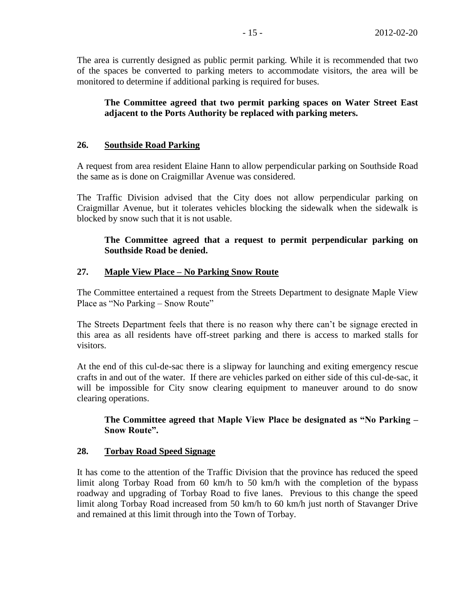The area is currently designed as public permit parking. While it is recommended that two of the spaces be converted to parking meters to accommodate visitors, the area will be monitored to determine if additional parking is required for buses.

# **The Committee agreed that two permit parking spaces on Water Street East adjacent to the Ports Authority be replaced with parking meters.**

# **26. Southside Road Parking**

A request from area resident Elaine Hann to allow perpendicular parking on Southside Road the same as is done on Craigmillar Avenue was considered.

The Traffic Division advised that the City does not allow perpendicular parking on Craigmillar Avenue, but it tolerates vehicles blocking the sidewalk when the sidewalk is blocked by snow such that it is not usable.

## **The Committee agreed that a request to permit perpendicular parking on Southside Road be denied.**

## **27. Maple View Place – No Parking Snow Route**

The Committee entertained a request from the Streets Department to designate Maple View Place as "No Parking – Snow Route"

The Streets Department feels that there is no reason why there can't be signage erected in this area as all residents have off-street parking and there is access to marked stalls for visitors.

At the end of this cul-de-sac there is a slipway for launching and exiting emergency rescue crafts in and out of the water. If there are vehicles parked on either side of this cul-de-sac, it will be impossible for City snow clearing equipment to maneuver around to do snow clearing operations.

# **The Committee agreed that Maple View Place be designated as "No Parking – Snow Route".**

## **28. Torbay Road Speed Signage**

It has come to the attention of the Traffic Division that the province has reduced the speed limit along Torbay Road from 60 km/h to 50 km/h with the completion of the bypass roadway and upgrading of Torbay Road to five lanes. Previous to this change the speed limit along Torbay Road increased from 50 km/h to 60 km/h just north of Stavanger Drive and remained at this limit through into the Town of Torbay.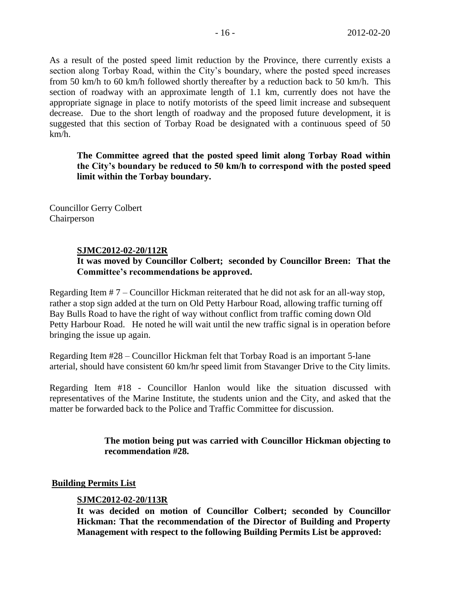As a result of the posted speed limit reduction by the Province, there currently exists a section along Torbay Road, within the City's boundary, where the posted speed increases from 50 km/h to 60 km/h followed shortly thereafter by a reduction back to 50 km/h. This section of roadway with an approximate length of 1.1 km, currently does not have the appropriate signage in place to notify motorists of the speed limit increase and subsequent decrease. Due to the short length of roadway and the proposed future development, it is suggested that this section of Torbay Road be designated with a continuous speed of 50 km/h.

**The Committee agreed that the posted speed limit along Torbay Road within the City's boundary be reduced to 50 km/h to correspond with the posted speed limit within the Torbay boundary.**

Councillor Gerry Colbert Chairperson

# **SJMC2012-02-20/112R**

# **It was moved by Councillor Colbert; seconded by Councillor Breen: That the Committee's recommendations be approved.**

Regarding Item # 7 – Councillor Hickman reiterated that he did not ask for an all-way stop, rather a stop sign added at the turn on Old Petty Harbour Road, allowing traffic turning off Bay Bulls Road to have the right of way without conflict from traffic coming down Old Petty Harbour Road. He noted he will wait until the new traffic signal is in operation before bringing the issue up again.

Regarding Item #28 – Councillor Hickman felt that Torbay Road is an important 5-lane arterial, should have consistent 60 km/hr speed limit from Stavanger Drive to the City limits.

Regarding Item #18 - Councillor Hanlon would like the situation discussed with representatives of the Marine Institute, the students union and the City, and asked that the matter be forwarded back to the Police and Traffic Committee for discussion.

# **The motion being put was carried with Councillor Hickman objecting to recommendation #28.**

# **Building Permits List**

# **SJMC2012-02-20/113R**

**It was decided on motion of Councillor Colbert; seconded by Councillor Hickman: That the recommendation of the Director of Building and Property Management with respect to the following Building Permits List be approved:**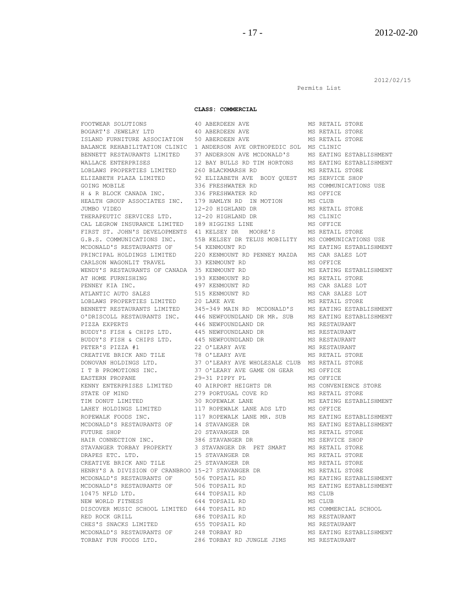Permits List

2012/02/15

#### **CLASS: COMMERCIAL**

FOOTWEAR SOLUTIONS 40 ABERDEEN AVE MS RETAIL STORE BOGART'S JEWELRY LTD 40 ABERDEEN AVE MS RETAIL STORE ISLAND FURNITURE ASSOCIATION 50 ABERDEEN AVE MS RETAIL STORE BALANCE REHABILITATION CLINIC 1 ANDERSON AVE ORTHOPEDIC SOL MS CLINIC BENNETT RESTAURANTS LIMITED 37 ANDERSON AVE MCDONALD'S MS EATING ESTABLISHMENT WALLACE ENTERPRISES 12 BAY BULLS RD TIM HORTONS MS EATING ESTABLISHMENT LOBLAWS PROPERTIES LIMITED 260 BLACKMARSH RD MS RETAIL STORE ELIZABETH PLAZA LIMITED 92 ELIZABETH AVE BODY QUEST MS SERVICE SHOP GOING MOBILE  $\overline{336}$  FRESHWATER RD  $\overline{MS}$  COMMUNICATIONS USE H & R BLOCK CANADA INC. 336 FRESHWATER RD MS OFFICE HEALTH GROUP ASSOCIATES INC. 179 HAMLYN RD IN MOTION MS CLUB JUMBO VIDEO 12-20 HIGHLAND DR MS RETAIL STORE THERAPEUTIC SERVICES LTD. 12-20 HIGHLAND DR MS CLINIC CAL LEGROW INSURANCE LIMITED 189 HIGGINS LINE MS OFFICE FIRST ST. JOHN'S DEVELOPMENTS 41 KELSEY DR MOORE'S MS RETAIL STORE G.B.S. COMMUNICATIONS INC. 55B KELSEY DR TELUS MOBILITY MS COMMUNICATIONS USE MCDONALD'S RESTAURANTS OF 54 KENMOUNT RD MS EATING ESTABLISHMENT PRINCIPAL HOLDINGS LIMITED 220 KENMOUNT RD PENNEY MAZDA MS CAR SALES LOT CARLSON WAGONLIT TRAVEL 33 KENMOUNT RD MS OFFICE WENDY'S RESTAURANTS OF CANADA 35 KENMOUNT RD MS EATING ESTABLISHMENT AT HOME FURNISHING 193 KENMOUNT RD MS RETAIL STORE PENNEY KIA INC. 497 KENMOUNT RD MS CAR SALES LOT ATLANTIC AUTO SALES 515 KENMOUNT RD MS CAR SALES LOT LOBLAWS PROPERTIES LIMITED 20 LAKE AVE MINIMUM MS RETAIL STORE BENNETT RESTAURANTS LIMITED 345-349 MAIN RD MCDONALD'S MS EATING ESTABLISHMENT O'DRISCOLL RESTAURANTS INC. 446 NEWFOUNDLAND DR MR. SUB MS EATING ESTABLISHMENT PIZZA EXPERTS 446 NEWFOUNDLAND DR MS RESTAURANT BUDDY'S FISH & CHIPS LTD. 445 NEWFOUNDLAND DR MS RESTAURANT BUDDY'S FISH & CHIPS LTD. 445 NEWFOUNDLAND DR MS RESTAURANT PETER'S PIZZA #1 22 O'LEARY AVE MS RESTAURANT CREATIVE BRICK AND TILE 78 O'LEARY AVE MS RETAIL STORE DONOVAN HOLDINGS LTD. 37 O'LEARY AVE WHOLESALE CLUB MS RETAIL STORE I T B PROMOTIONS INC. 37 O'LEARY AVE GAME ON GEAR MS OFFICE EASTERN PROPANE 29-31 PIPPY PL MS OFFICE KENNY ENTERPRISES LIMITED 40 AIRPORT HEIGHTS DR MS CONVENIENCE STORE STATE OF MIND **279 PORTUGAL COVE RD** MS RETAIL STORE TIM DONUT LIMITED 30 ROPEWALK LANE MS EATING ESTABLISHMENT<br>
LAHEY HOLDINGS LIMITED 117 ROPEWALK LANE ADS LTD MS OFFICE ROPEWALK FOODS INC. 117 ROPEWALK LANE MR. SUB MS EATING ESTABLISHMENT MCDONALD'S RESTAURANTS OF 14 STAVANGER DR MS EATING ESTABLISHMENT FUTURE SHOP 20 STAVANGER DR MS RETAIL STORE HAIR CONNECTION INC. 386 STAVANGER DR MS SERVICE SHOP STAVANGER TORBAY PROPERTY 3 STAVANGER DR PET SMART MS RETAIL STORE DRAPES ETC. LTD. 15 STAVANGER DR MS RETAIL STORE CREATIVE BRICK AND TILE 25 STAVANGER DR MS RETAIL STORE HENRY'S A DIVISION OF CRANBROO 15-27 STAVANGER DR MS RETAIL STORE MCDONALD'S RESTAURANTS OF 506 TOPSAIL RD MS EATING ESTABLISHMENT MCDONALD'S RESTAURANTS OF 506 TOPSAIL RD MS EATING ESTABLISHMENT 10475 NFLD LTD. 644 TOPSAIL RD MS CLUB NEW WORLD FITNESS 644 TOPSAIL RD MS CLUB DISCOVER MUSIC SCHOOL LIMITED 644 TOPSAIL RD MS COMMERCIAL SCHOOL RED ROCK GRILL 686 TOPSAIL RD MS RESTAURANT CHES'S SNACKS LIMITED 655 TOPSAIL RD 650 MS RESTAURANT MCDONALD'S RESTAURANTS OF 248 TORBAY RD MS EATING ESTABLISHMENT

117 ROPEWALK LANE ADS LTD MS OFFICE TORBAY FUN FOODS LTD. 286 TORBAY RD JUNGLE JIMS MS RESTAURANT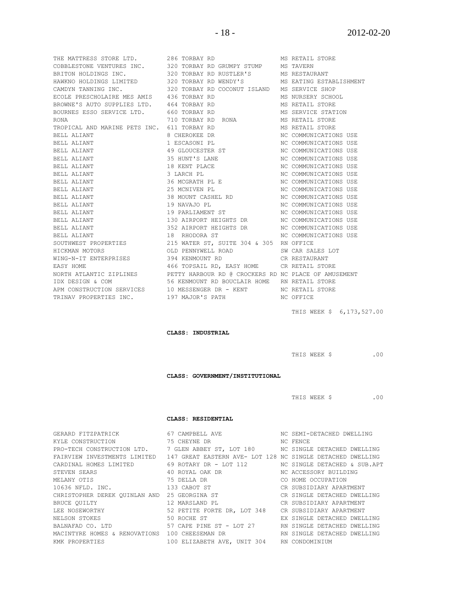THE MATTRESS STORE LTD. 286 TORBAY RD MS RETAIL STORE COBBLESTONE VENTURES INC. 320 TORBAY RD GRUMPY STUMP MS TAVERN BRITON HOLDINGS INC. 320 TORBAY RD RUSTLER'S MS RESTAURANT HAWKNO HOLDINGS LIMITED 320 TORBAY RD WENDY'S MS EATING ESTABLISHMENT CAMDYN TANNING INC. 320 TORBAY RD COCONUT ISLAND MS SERVICE SHOP ECOLE PRESCHOLAIRE MES AMIS 436 TORBAY RD MS NURSERY SCHOOL BROWNE'S AUTO SUPPLIES LTD. 464 TORBAY RD MS RETAIL STORE BOURNES ESSO SERVICE LTD. 660 TORBAY RD MS SERVICE STATION RONA 710 TORBAY RD RONA MS RETAIL STORE TROPICAL AND MARINE PETS INC. 611 TORBAY RD MS RETAIL STORE BELL ALIANT 8 CHEROKEE DR NC COMMUNICATIONS USE BELL ALIANT 1 ESCASONI PL NC COMMUNICATIONS USE BELL ALIANT 49 GLOUCESTER ST NC COMMUNICATIONS USE BELL ALIANT 35 HUNT'S LANE NC COMMUNICATIONS USE BELL ALIANT **18 KENT PLACE** NC COMMUNICATIONS USE BELL ALIANT 3 LARCH PL NC COMMUNICATIONS USE BELL ALIANT 36 MCGRATH PL E NC COMMUNICATIONS USE BELL ALIANT 25 MCNIVEN PL NC COMMUNICATIONS USE BELL ALIANT 38 MOUNT CASHEL RD NC COMMUNICATIONS USE BELL ALIANT 19 NAVAJO PL NC COMMUNICATIONS USE BELL ALIANT 19 PARLIAMENT ST NC COMMUNICATIONS USE BELL ALIANT 130 AIRPORT HEIGHTS DR NC COMMUNICATIONS USE BELL ALIANT 352 AIRPORT HEIGHTS DR NC COMMUNICATIONS USE BELL ALIANT 18 RHODORA ST NC COMMUNICATIONS USE SOUTHWEST PROPERTIES 215 WATER ST, SUITE 304 & 305 RN OFFICE HICKMAN MOTORS OLD PENNYWELL ROAD SW CAR SALES LOT WING-N-IT ENTERPRISES 394 KENMOUNT RD CR RESTAURANT EASY HOME 466 TOPSAIL RD, EASY HOME CR RETAIL STORE NORTH ATLANTIC ZIPLINES PETTY HARBOUR RD @ CROCKERS RD NC PLACE OF AMUSEMENT IDX DESIGN & COM 56 KENMOUNT RD BOUCLAIR HOME RN RETAIL STORE APM CONSTRUCTION SERVICES 10 MESSENGER DR - KENT NC RETAIL STORE TRINAV PROPERTIES INC. 197 MAJOR'S PATH NC OFFICE

**CLASS: INDUSTRIAL**

THIS WEEK \$ ... 00

THIS WEEK \$ 6,173,527.00

**CLASS: GOVERNMENT/INSTITUTIONAL**

THIS WEEK \$ .00

#### **CLASS: RESIDENTIAL**

GERARD FITZPATRICK 67 CAMPBELL AVE NO SEMI-DETACHED DWELLING KYLE CONSTRUCTION 75 CHEYNE DR NC FENCE PRO-TECH CONSTRUCTION LTD. 7 GLEN ABBEY ST, LOT 180 NC SINGLE DETACHED DWELLING FAIRVIEW INVESTMENTS LIMITED 147 GREAT EASTERN AVE- LOT 128 NC SINGLE DETACHED DWELLING CARDINAL HOMES LIMITED 69 ROTARY DR - LOT 112 NC SINGLE DETACHED & SUB.APT  ${\tt STEVEN}$   ${\tt SEARS}$   ${\tt A0}$   ${\tt ROYAL}$   ${\tt OAK}$   ${\tt DR}$   ${\tt NCACESSORY}$   ${\tt BULDING}$ MELANY OTIS  $75$  DELLA DR CO HOME OCCUPATION 10636 NFLD. INC. 133 CABOT ST CR SUBSIDIARY APARTMENT CHRISTOPHER DEREK QUINLAN AND 25 GEORGINA ST CR SINGLE DETACHED DWELLING BRUCE QUILTY 12 MARSLAND PL CR SUBSIDIARY APARTMENT LEE NOSEWORTHY 62 PETITE FORTE DR, LOT 348 CR SUBSIDIARY APARTMENT NELSON STOKES 50 ROCHE ST EX SINGLE DETACHED DWELLING BALNAFAD CO. LTD 57 CAPE PINE ST - LOT 27 RN SINGLE DETACHED DWELLING MACINTYRE HOMES & RENOVATIONS 100 CHEESEMAN DR RN SINGLE DETACHED DWELLING KMK PROPERTIES 100 ELIZABETH AVE, UNIT 304 RN CONDOMINIUM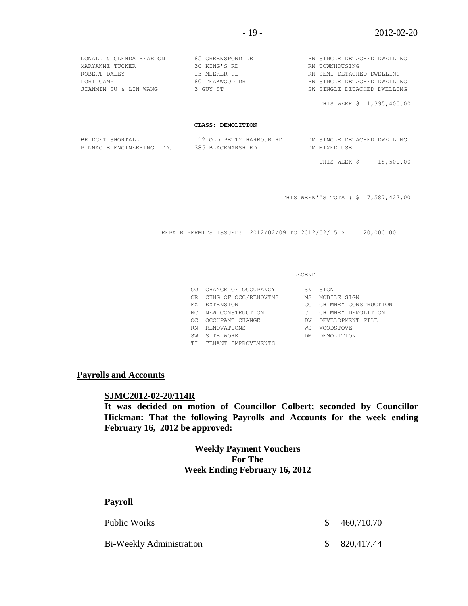THIS WEEK \$ 1,395,400.00

#### **CLASS: DEMOLITION**

| BRIDGET SHORTALL          | 112 OLD PETTY HARBOUR RD | DM SINGLE DETACHED DWELLING |
|---------------------------|--------------------------|-----------------------------|
| PINNACLE ENGINEERING LTD. | 385 BLACKMARSH RD        | DM MIXED USE                |

THIS WEEK \$ 18,500.00

THIS WEEK''S TOTAL: \$ 7,587,427.00

REPAIR PERMITS ISSUED: 2012/02/09 TO 2012/02/15 \$ 20,000.00

#### LEGEND

|     | CO CHANGE OF OCCUPANCY  | SN  | STGN                    |
|-----|-------------------------|-----|-------------------------|
|     | CR CHNG OF OCC/RENOVTNS | МS  | MOBILE SIGN             |
|     | EX EXTENSION            |     | CC CHIMNEY CONSTRUCTION |
|     | NC NEW CONSTRUCTION     | CD. | CHIMNEY DEMOLITION      |
| OC. | OCCUPANT CHANGE         | DV. | DEVELOPMENT FILE        |
| RN  | RENOVATIONS             | WS  | <b>WOODSTOVE</b>        |
| SW  | STTE WORK               | DM. | DEMOLITION              |
|     | TI TENANT IMPROVEMENTS  |     |                         |
|     |                         |     |                         |

#### **Payrolls and Accounts**

#### **SJMC2012-02-20/114R**

**It was decided on motion of Councillor Colbert; seconded by Councillor Hickman: That the following Payrolls and Accounts for the week ending February 16, 2012 be approved:** 

> **Weekly Payment Vouchers For The Week Ending February 16, 2012**

| <b>Payroll</b>           |              |            |
|--------------------------|--------------|------------|
| Public Works             | -SS          | 460,710.70 |
| Bi-Weekly Administration | <sup>S</sup> | 820,417.44 |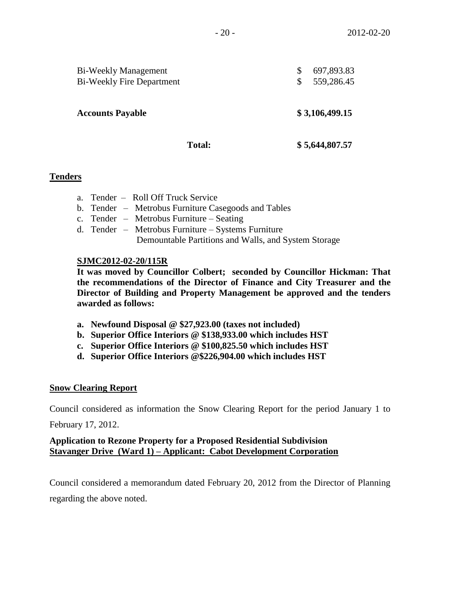| <b>Bi-Weekly Management</b><br><b>Bi-Weekly Fire Department</b> | 697,893.83<br>\$<br>559,286.45 |  |
|-----------------------------------------------------------------|--------------------------------|--|
| <b>Accounts Payable</b>                                         | \$3,106,499.15                 |  |
| <b>Total:</b>                                                   | \$5,644,807.57                 |  |

# **Tenders**

- a. Tender Roll Off Truck Service
- b. Tender Metrobus Furniture Casegoods and Tables
- c. Tender Metrobus Furniture Seating
- d. Tender Metrobus Furniture Systems Furniture Demountable Partitions and Walls, and System Storage

## **SJMC2012-02-20/115R**

**It was moved by Councillor Colbert; seconded by Councillor Hickman: That the recommendations of the Director of Finance and City Treasurer and the Director of Building and Property Management be approved and the tenders awarded as follows:**

- **a. Newfound Disposal @ \$27,923.00 (taxes not included)**
- **b. Superior Office Interiors @ \$138,933.00 which includes HST**
- **c. Superior Office Interiors @ \$100,825.50 which includes HST**
- **d. Superior Office Interiors @\$226,904.00 which includes HST**

## **Snow Clearing Report**

Council considered as information the Snow Clearing Report for the period January 1 to

February 17, 2012.

# **Application to Rezone Property for a Proposed Residential Subdivision Stavanger Drive (Ward 1) – Applicant: Cabot Development Corporation**

Council considered a memorandum dated February 20, 2012 from the Director of Planning regarding the above noted.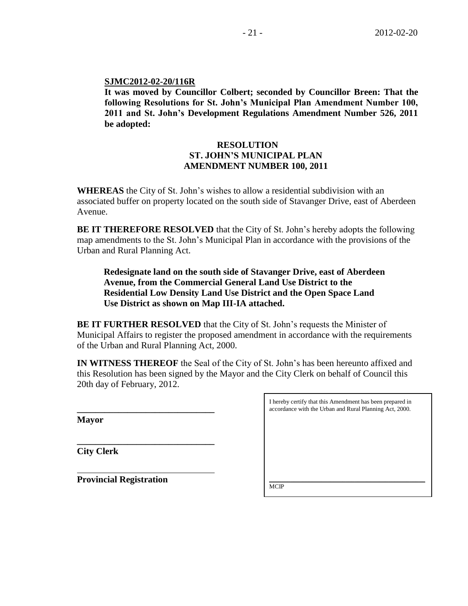#### **SJMC2012-02-20/116R**

**It was moved by Councillor Colbert; seconded by Councillor Breen: That the following Resolutions for St. John's Municipal Plan Amendment Number 100, 2011 and St. John's Development Regulations Amendment Number 526, 2011 be adopted:**

# **RESOLUTION ST. JOHN'S MUNICIPAL PLAN AMENDMENT NUMBER 100, 2011**

**WHEREAS** the City of St. John's wishes to allow a residential subdivision with an associated buffer on property located on the south side of Stavanger Drive, east of Aberdeen Avenue.

**BE IT THEREFORE RESOLVED** that the City of St. John's hereby adopts the following map amendments to the St. John's Municipal Plan in accordance with the provisions of the Urban and Rural Planning Act.

**Redesignate land on the south side of Stavanger Drive, east of Aberdeen Avenue, from the Commercial General Land Use District to the Residential Low Density Land Use District and the Open Space Land Use District as shown on Map III-IA attached.**

**BE IT FURTHER RESOLVED** that the City of St. John's requests the Minister of Municipal Affairs to register the proposed amendment in accordance with the requirements of the Urban and Rural Planning Act, 2000.

**IN WITNESS THEREOF** the Seal of the City of St. John's has been hereunto affixed and this Resolution has been signed by the Mayor and the City Clerk on behalf of Council this 20th day of February, 2012.

**Mayor**

I hereby certify that this Amendment has been prepared in accordance with the Urban and Rural Planning Act, 2000.

**City Clerk**

**Provincial Registration**

**\_\_\_\_\_\_\_\_\_\_\_\_\_\_\_\_\_\_\_\_\_\_\_\_\_\_\_\_\_\_**

**\_\_\_\_\_\_\_\_\_\_\_\_\_\_\_\_\_\_\_\_\_\_\_\_\_\_\_\_\_\_** 

\_\_\_\_\_\_\_\_\_\_\_\_\_\_\_\_\_\_\_\_\_\_\_\_\_\_\_\_\_\_\_\_\_\_\_\_\_\_\_\_\_\_\_\_\_\_\_\_\_\_\_ **MCIP**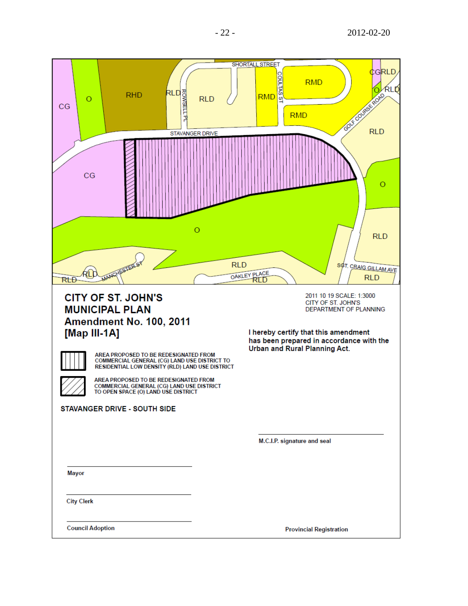| RLD <sub>3</sub><br>Here<br>Here<br>Here<br>Here<br><b>RHD</b><br>$\circ$<br>CG<br>CG                                                                                                                                                                                                     | SHORTALL STREET<br>₫GRLD,<br><b>COULTAS</b><br><b>RMD</b><br><b>RLD</b><br>Fox course from<br><b>RMD</b><br><b>RLD</b><br><b>SC</b><br><b>RMD</b><br><b>STAVANGER DRIVE</b><br>Ο              |
|-------------------------------------------------------------------------------------------------------------------------------------------------------------------------------------------------------------------------------------------------------------------------------------------|-----------------------------------------------------------------------------------------------------------------------------------------------------------------------------------------------|
| RtĐ                                                                                                                                                                                                                                                                                       | $\circ$<br><b>RLD</b><br><b>RLD</b><br>SOT. CRAIG GILLAM AVE<br>OAKLEY PLACE<br><b>RLD</b><br>RID                                                                                             |
| <b>CITY OF ST. JOHN'S</b><br><b>MUNICIPAL PLAN</b><br><b>Amendment No. 100, 2011</b><br>[Map III-1A]<br>AREA PROPOSED TO BE REDESIGNATED FROM<br>COMMERCIAL GENERAL (CG) LAND USE DISTRICT TO<br>RESIDENTIAL LOW DENSITY (RLD) LAND USE DISTRICT<br>AREA PROPOSED TO BE REDESIGNATED FROM | 2011 10 19 SCALE: 1:3000<br>CITY OF ST. JOHN'S<br>DEPARTMENT OF PLANNING<br>I hereby certify that this amendment<br>has been prepared in accordance with the<br>Urban and Rural Planning Act. |
| COMMERCIAL GENERAL (CG) LAND USE DISTRICT<br>TO OPEN SPACE (O) LAND USE DISTRICT<br><b>STAVANGER DRIVE - SOUTH SIDE</b>                                                                                                                                                                   |                                                                                                                                                                                               |
|                                                                                                                                                                                                                                                                                           | M.C.I.P. signature and seal                                                                                                                                                                   |
| <b>Mayor</b>                                                                                                                                                                                                                                                                              |                                                                                                                                                                                               |
| <b>City Clerk</b>                                                                                                                                                                                                                                                                         |                                                                                                                                                                                               |
| <b>Council Adoption</b>                                                                                                                                                                                                                                                                   | <b>Provincial Registration</b>                                                                                                                                                                |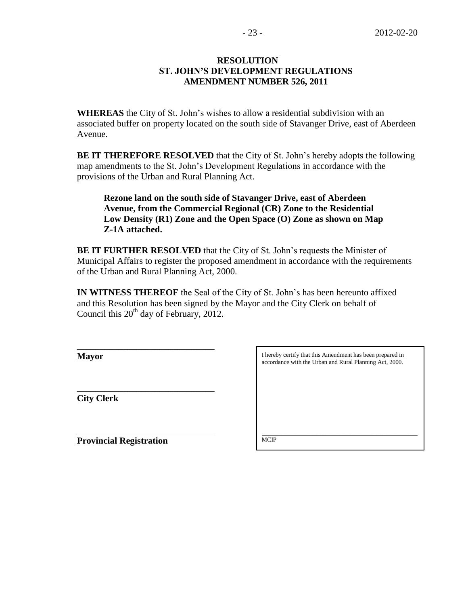#### **RESOLUTION ST. JOHN'S DEVELOPMENT REGULATIONS AMENDMENT NUMBER 526, 2011**

**WHEREAS** the City of St. John's wishes to allow a residential subdivision with an associated buffer on property located on the south side of Stavanger Drive, east of Aberdeen Avenue.

**BE IT THEREFORE RESOLVED** that the City of St. John's hereby adopts the following map amendments to the St. John's Development Regulations in accordance with the provisions of the Urban and Rural Planning Act.

**Rezone land on the south side of Stavanger Drive, east of Aberdeen Avenue, from the Commercial Regional (CR) Zone to the Residential Low Density (R1) Zone and the Open Space (O) Zone as shown on Map Z-1A attached.**

**BE IT FURTHER RESOLVED** that the City of St. John's requests the Minister of Municipal Affairs to register the proposed amendment in accordance with the requirements of the Urban and Rural Planning Act, 2000.

**IN WITNESS THEREOF** the Seal of the City of St. John's has been hereunto affixed and this Resolution has been signed by the Mayor and the City Clerk on behalf of Council this  $20^{th}$  day of February, 2012.

**Mayor**

**City Clerk**

**Provincial Registration**

**\_\_\_\_\_\_\_\_\_\_\_\_\_\_\_\_\_\_\_\_\_\_\_\_\_\_\_\_\_\_**

**\_\_\_\_\_\_\_\_\_\_\_\_\_\_\_\_\_\_\_\_\_\_\_\_\_\_\_\_\_\_** 

I hereby certify that this Amendment has been prepared in accordance with the Urban and Rural Planning Act, 2000. \_\_\_\_\_\_\_\_\_\_\_\_\_\_\_\_\_\_\_\_\_\_\_\_\_\_\_\_\_\_\_\_\_\_\_\_\_\_\_\_\_\_\_\_\_\_\_\_\_\_\_ **MCIP**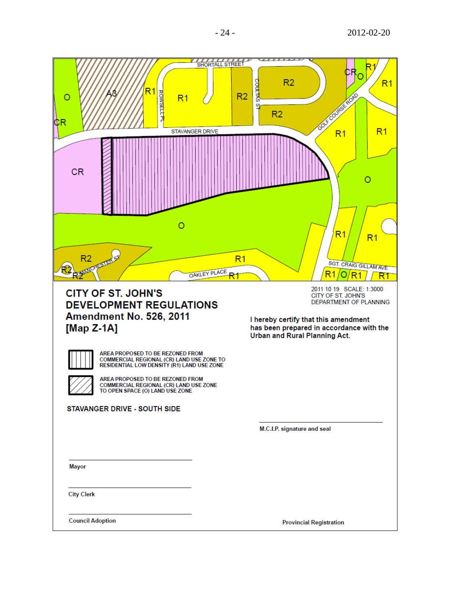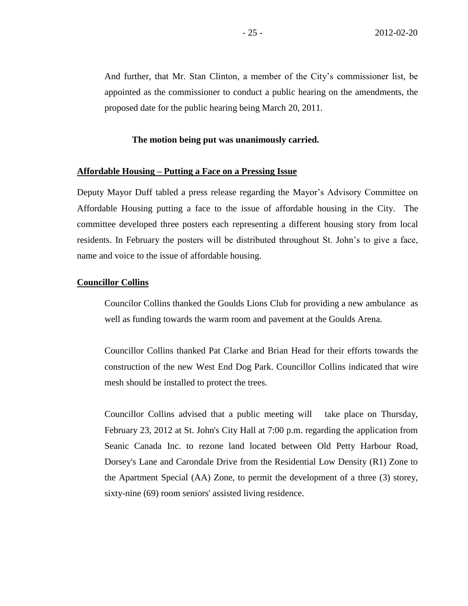#### **The motion being put was unanimously carried.**

#### **Affordable Housing – Putting a Face on a Pressing Issue**

Deputy Mayor Duff tabled a press release regarding the Mayor's Advisory Committee on Affordable Housing putting a face to the issue of affordable housing in the City. The committee developed three posters each representing a different housing story from local residents. In February the posters will be distributed throughout St. John's to give a face, name and voice to the issue of affordable housing.

#### **Councillor Collins**

Councilor Collins thanked the Goulds Lions Club for providing a new ambulance as well as funding towards the warm room and pavement at the Goulds Arena.

Councillor Collins thanked Pat Clarke and Brian Head for their efforts towards the construction of the new West End Dog Park. Councillor Collins indicated that wire mesh should be installed to protect the trees.

Councillor Collins advised that a public meeting will take place on Thursday, February 23, 2012 at St. John's City Hall at 7:00 p.m. regarding the application from Seanic Canada Inc. to rezone land located between Old Petty Harbour Road, Dorsey's Lane and Carondale Drive from the Residential Low Density (R1) Zone to the Apartment Special (AA) Zone, to permit the development of a three (3) storey, sixty-nine (69) room seniors' assisted living residence.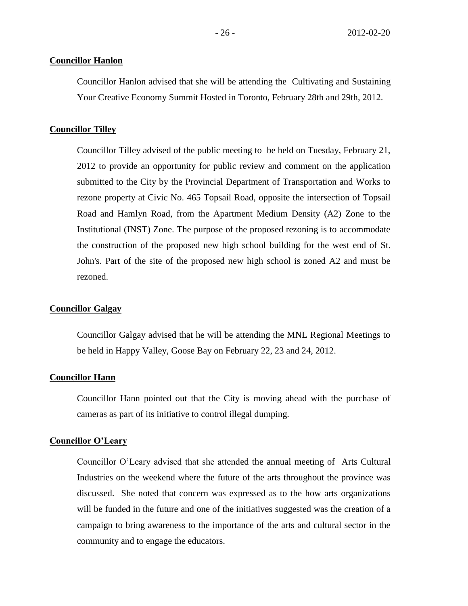#### **Councillor Hanlon**

Councillor Hanlon advised that she will be attending the Cultivating and Sustaining Your Creative Economy Summit Hosted in Toronto, February 28th and 29th, 2012.

#### **Councillor Tilley**

Councillor Tilley advised of the public meeting to be held on Tuesday, February 21, 2012 to provide an opportunity for public review and comment on the application submitted to the City by the Provincial Department of Transportation and Works to rezone property at Civic No. 465 Topsail Road, opposite the intersection of Topsail Road and Hamlyn Road, from the Apartment Medium Density (A2) Zone to the Institutional (INST) Zone. The purpose of the proposed rezoning is to accommodate the construction of the proposed new high school building for the west end of St. John's. Part of the site of the proposed new high school is zoned A2 and must be rezoned.

#### **Councillor Galgay**

Councillor Galgay advised that he will be attending the MNL Regional Meetings to be held in Happy Valley, Goose Bay on February 22, 23 and 24, 2012.

#### **Councillor Hann**

Councillor Hann pointed out that the City is moving ahead with the purchase of cameras as part of its initiative to control illegal dumping.

#### **Councillor O'Leary**

Councillor O'Leary advised that she attended the annual meeting of Arts Cultural Industries on the weekend where the future of the arts throughout the province was discussed. She noted that concern was expressed as to the how arts organizations will be funded in the future and one of the initiatives suggested was the creation of a campaign to bring awareness to the importance of the arts and cultural sector in the community and to engage the educators.